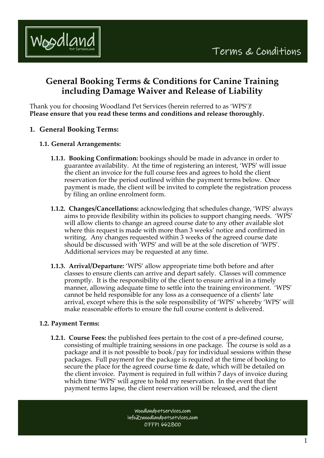

# **General Booking Terms & Conditions for Canine Training including Damage Waiver and Release of Liability**

Thank you for choosing Woodland Pet Services (herein referred to as 'WPS')! **Please ensure that you read these terms and conditions and release thoroughly.**

- **1. General Booking Terms:** 
	- **1.1. General Arrangements:**
		- **1.1.1. Booking Confirmation:** bookings should be made in advance in order to guarantee availability. At the time of registering an interest, 'WPS' will issue the client an invoice for the full course fees and agrees to hold the client reservation for the period outlined within the payment terms below. Once payment is made, the client will be invited to complete the registration process by filing an online enrolment form.
		- **1.1.2. Changes/Cancellations:** acknowledging that schedules change, 'WPS' always aims to provide flexibility within its policies to support changing needs. 'WPS' will allow clients to change an agreed course date to any other available slot where this request is made with more than 3 weeks' notice and confirmed in writing. Any changes requested within 3 weeks of the agreed course date should be discussed with 'WPS' and will be at the sole discretion of 'WPS'. Additional services may be requested at any time.
		- **1.1.3. Arrival/Departure:** 'WPS' allow appropriate time both before and after classes to ensure clients can arrive and depart safely. Classes will commence promptly. It is the responsibility of the client to ensure arrival in a timely manner, allowing adequate time to settle into the training environment. 'WPS' cannot be held responsible for any loss as a consequence of a clients' late arrival, except where this is the sole responsibility of 'WPS' whereby 'WPS' will make reasonable efforts to ensure the full course content is delivered.

## **1.2. Payment Terms:**

**1.2.1. Course Fees:** the published fees pertain to the cost of a pre-defined course, consisting of multiple training sessions in one package. The course is sold as a package and it is not possible to book/pay for individual sessions within these packages. Full payment for the package is required at the time of booking to secure the place for the agreed course time & date, which will be detailed on the client invoice. Payment is required in full within 7 days of invoice during which time 'WPS' will agree to hold my reservation. In the event that the payment terms lapse, the client reservation will be released, and the client

> Woodlandpetservices.com info@woodlandpetsetvices.com 07771 662800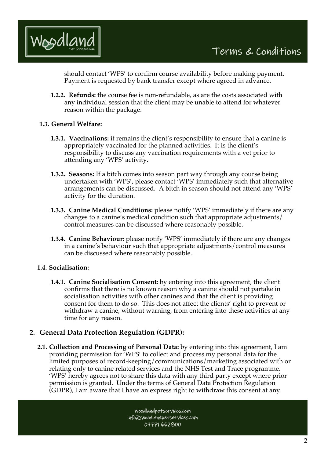

should contact 'WPS' to confirm course availability before making payment. Payment is requested by bank transfer except where agreed in advance.

**1.2.2. Refunds:** the course fee is non-refundable, as are the costs associated with any individual session that the client may be unable to attend for whatever reason within the package.

#### **1.3. General Welfare:**

- **1.3.1. Vaccinations:** it remains the client's responsibility to ensure that a canine is appropriately vaccinated for the planned activities. It is the client's responsibility to discuss any vaccination requirements with a vet prior to attending any 'WPS' activity.
- **1.3.2. Seasons:** If a bitch comes into season part way through any course being undertaken with 'WPS', please contact 'WPS' immediately such that alternative arrangements can be discussed. A bitch in season should not attend any 'WPS' activity for the duration.
- **1.3.3. Canine Medical Conditions:** please notify 'WPS' immediately if there are any changes to a canine's medical condition such that appropriate adjustments/ control measures can be discussed where reasonably possible.
- **1.3.4. Canine Behaviour:** please notify 'WPS' immediately if there are any changes in a canine's behaviour such that appropriate adjustments/control measures can be discussed where reasonably possible.

#### **1.4. Socialisation:**

**1.4.1. Canine Socialisation Consent:** by entering into this agreement, the client confirms that there is no known reason why a canine should not partake in socialisation activities with other canines and that the client is providing consent for them to do so. This does not affect the clients' right to prevent or withdraw a canine, without warning, from entering into these activities at any time for any reason.

## **2. General Data Protection Regulation (GDPR):**

**2.1. Collection and Processing of Personal Data:** by entering into this agreement, I am providing permission for 'WPS' to collect and process my personal data for the limited purposes of record-keeping/communications/marketing associated with or relating only to canine related services and the NHS Test and Trace programme. 'WPS' hereby agrees not to share this data with any third party except where prior permission is granted. Under the terms of General Data Protection Regulation (GDPR), I am aware that I have an express right to withdraw this consent at any

> Woodlandpetservices.com info@woodlandpetsetvices.com 07771 662800